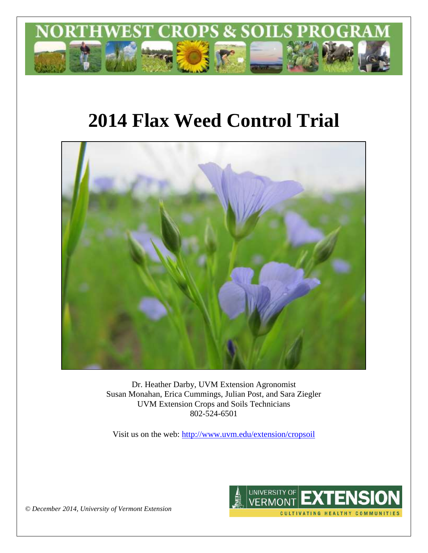

# **2014 Flax Weed Control Trial**



Dr. Heather Darby, UVM Extension Agronomist Susan Monahan, Erica Cummings, Julian Post, and Sara Ziegler UVM Extension Crops and Soils Technicians 802-524-6501

Visit us on the web: <http://www.uvm.edu/extension/cropsoil>



*© December 2014, University of Vermont Extension*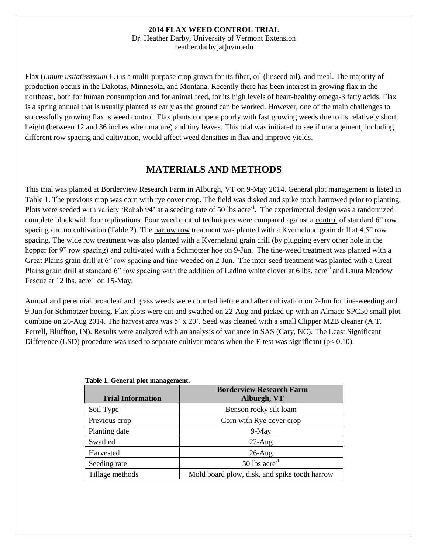#### **2014 FLAX WEED CONTROL TRIAL**

Dr. Heather Darby, University of Vermont Extension heather.darby[at]uvm.edu

Flax (*Linum usitatissimum* L.) is a multi-purpose crop grown for its fiber, oil (linseed oil), and meal. The majority of production occurs in the Dakotas, Minnesota, and Montana. Recently there has been interest in growing flax in the northeast, both for human consumption and for animal feed, for its high levels of heart-healthy omega-3 fatty acids. Flax is a spring annual that is usually planted as early as the ground can be worked. However, one of the main challenges to successfully growing flax is weed control. Flax plants compete poorly with fast growing weeds due to its relatively short height (between 12 and 36 inches when mature) and tiny leaves. This trial was initiated to see if management, including different row spacing and cultivation, would affect weed densities in flax and improve yields.

## **MATERIALS AND METHODS**

This trial was planted at Borderview Research Farm in Alburgh, VT on 9-May 2014. General plot management is listed in Table 1. The previous crop was corn with rye cover crop. The field was disked and spike tooth harrowed prior to planting. Plots were seeded with variety 'Rahab 94' at a seeding rate of 50 lbs acre<sup>-1</sup>. The experimental design was a randomized complete block with four replications. Four weed control techniques were compared against a control of standard 6" row spacing and no cultivation (Table 2). The narrow row treatment was planted with a Kverneland grain drill at 4.5" row spacing. The wide row treatment was also planted with a Kverneland grain drill (by plugging every other hole in the hopper for 9" row spacing) and cultivated with a Schmotzer hoe on 9-Jun. The tine-weed treatment was planted with a Great Plains grain drill at 6" row spacing and tine-weeded on 2-Jun. The inter-seed treatment was planted with a Great Plains grain drill at standard 6" row spacing with the addition of Ladino white clover at 6 lbs. acre<sup>-1</sup> and Laura Meadow Fescue at 12 lbs.  $\arccos 1$  on 15-May.

Annual and perennial broadleaf and grass weeds were counted before and after cultivation on 2-Jun for tine-weeding and 9-Jun for Schmotzer hoeing. Flax plots were cut and swathed on 22-Aug and picked up with an Almaco SPC50 small plot combine on 26-Aug 2014. The harvest area was 5' x 20'. Seed was cleaned with a small Clipper M2B cleaner (A.T. Ferrell, Bluffton, IN). Results were analyzed with an analysis of variance in SAS (Cary, NC). The Least Significant Difference (LSD) procedure was used to separate cultivar means when the F-test was significant ( $p < 0.10$ ).

| Table 1. General plot management. |                                               |  |  |
|-----------------------------------|-----------------------------------------------|--|--|
|                                   | <b>Borderview Research Farm</b>               |  |  |
| <b>Trial Information</b>          | Alburgh, VT                                   |  |  |
| Soil Type                         | Benson rocky silt loam                        |  |  |
| Previous crop                     | Corn with Rye cover crop                      |  |  |
| Planting date                     | $9-May$                                       |  |  |
| Swathed                           | $22$ -Aug                                     |  |  |
| Harvested                         | $26$ -Aug                                     |  |  |
| Seeding rate                      | 50 lbs $\arccos 50$                           |  |  |
| Tillage methods                   | Mold board plow, disk, and spike tooth harrow |  |  |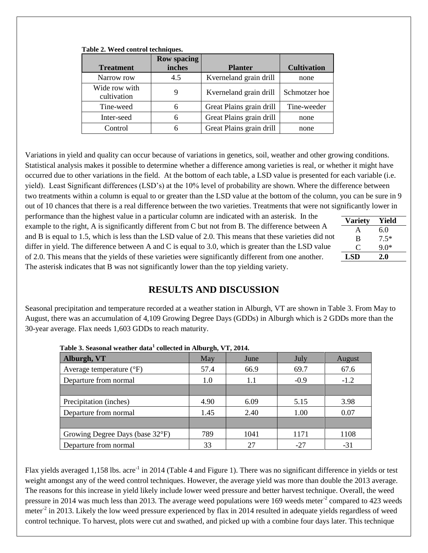| <b>Treatment</b>             | <b>Row spacing</b><br>inches | <b>Planter</b>           | <b>Cultivation</b> |
|------------------------------|------------------------------|--------------------------|--------------------|
| Narrow row                   | 4.5                          | Kverneland grain drill   | none               |
| Wide row with<br>cultivation | 9                            | Kverneland grain drill   | Schmotzer hoe      |
| Tine-weed                    | 6                            | Great Plains grain drill | Tine-weeder        |
| Inter-seed                   | 6                            | Great Plains grain drill | none               |
| Control                      | 6                            | Great Plains grain drill | none               |

#### **Table 2. Weed control techniques.**

Variations in yield and quality can occur because of variations in genetics, soil, weather and other growing conditions. Statistical analysis makes it possible to determine whether a difference among varieties is real, or whether it might have occurred due to other variations in the field. At the bottom of each table, a LSD value is presented for each variable (i.e. yield). Least Significant differences (LSD's) at the 10% level of probability are shown. Where the difference between two treatments within a column is equal to or greater than the LSD value at the bottom of the column, you can be sure in 9 out of 10 chances that there is a real difference between the two varieties. Treatments that were not significantly lower in

performance than the highest value in a particular column are indicated with an asterisk. In the example to the right, A is significantly different from C but not from B. The difference between A and B is equal to 1.5, which is less than the LSD value of 2.0. This means that these varieties did no differ in yield. The difference between A and C is equal to 3.0, which is greater than the LSD value of 2.0. This means that the yields of these varieties were significantly different from one another. The asterisk indicates that B was not significantly lower than the top yielding variety.

|    | <b>Variety</b> | Yield  |
|----|----------------|--------|
|    | A              | 6.0    |
| λt | B              | $7.5*$ |
|    |                | $9.0*$ |
|    | LSD            | 2.0    |

## **RESULTS AND DISCUSSION**

Seasonal precipitation and temperature recorded at a weather station in Alburgh, VT are shown in Table 3. From May to August, there was an accumulation of 4,109 Growing Degree Days (GDDs) in Alburgh which is 2 GDDs more than the 30-year average. Flax needs 1,603 GDDs to reach maturity.

| Tubic of Scasonal weather data concetted in friour city was not to |      |      |        |        |
|--------------------------------------------------------------------|------|------|--------|--------|
| Alburgh, VT                                                        | May  | June | July   | August |
| Average temperature $(^{\circ}F)$                                  | 57.4 | 66.9 | 69.7   | 67.6   |
| Departure from normal                                              | 1.0  | 1.1  | $-0.9$ | $-1.2$ |
|                                                                    |      |      |        |        |
| Precipitation (inches)                                             | 4.90 | 6.09 | 5.15   | 3.98   |
| Departure from normal                                              | 1.45 | 2.40 | 1.00   | 0.07   |
|                                                                    |      |      |        |        |
| Growing Degree Days (base 32°F)                                    | 789  | 1041 | 1171   | 1108   |
| Departure from normal                                              | 33   | 27   | -27    | $-31$  |

|  |  | Table 3. Seasonal weather data <sup>1</sup> collected in Alburgh, VT, 2014. |  |  |
|--|--|-----------------------------------------------------------------------------|--|--|
|  |  |                                                                             |  |  |

Flax yields averaged 1,158 lbs. acre<sup>-1</sup> in 2014 (Table 4 and Figure 1). There was no significant difference in yields or test weight amongst any of the weed control techniques. However, the average yield was more than double the 2013 average. The reasons for this increase in yield likely include lower weed pressure and better harvest technique. Overall, the weed pressure in 2014 was much less than 2013. The average weed populations were 169 weeds meter<sup>-2</sup> compared to 423 weeds meter<sup>-2</sup> in 2013. Likely the low weed pressure experienced by flax in 2014 resulted in adequate yields regardless of weed control technique. To harvest, plots were cut and swathed, and picked up with a combine four days later. This technique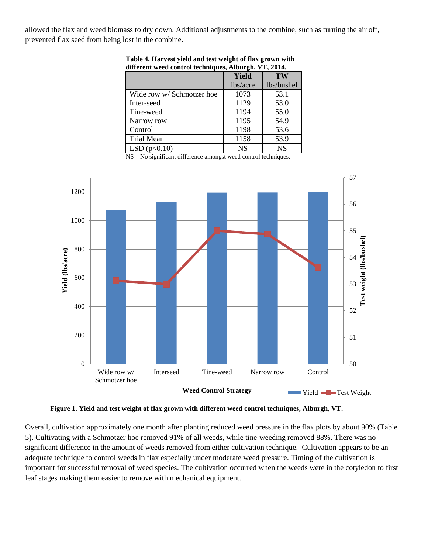allowed the flax and weed biomass to dry down. Additional adjustments to the combine, such as turning the air off, prevented flax seed from being lost in the combine.

|                           | Yield     | <b>TW</b>  |
|---------------------------|-----------|------------|
|                           | lbs/acre  | lbs/bushel |
| Wide row w/ Schmotzer hoe | 1073      | 53.1       |
| Inter-seed                | 1129      | 53.0       |
| Tine-weed                 | 1194      | 55.0       |
| Narrow row                | 1195      | 54.9       |
| Control                   | 1198      | 53.6       |
| <b>Trial Mean</b>         | 1158      | 53.9       |
| LSD(p<0.10)               | <b>NS</b> | <b>NS</b>  |

**Table 4. Harvest yield and test weight of flax grown with different weed control techniques, Alburgh, VT, 2014.**

NS – No significant difference amongst weed control techniques.



**Figure 1. Yield and test weight of flax grown with different weed control techniques, Alburgh, VT**.

Overall, cultivation approximately one month after planting reduced weed pressure in the flax plots by about 90% (Table 5). Cultivating with a Schmotzer hoe removed 91% of all weeds, while tine-weeding removed 88%. There was no significant difference in the amount of weeds removed from either cultivation technique. Cultivation appears to be an adequate technique to control weeds in flax especially under moderate weed pressure. Timing of the cultivation is important for successful removal of weed species. The cultivation occurred when the weeds were in the cotyledon to first leaf stages making them easier to remove with mechanical equipment.